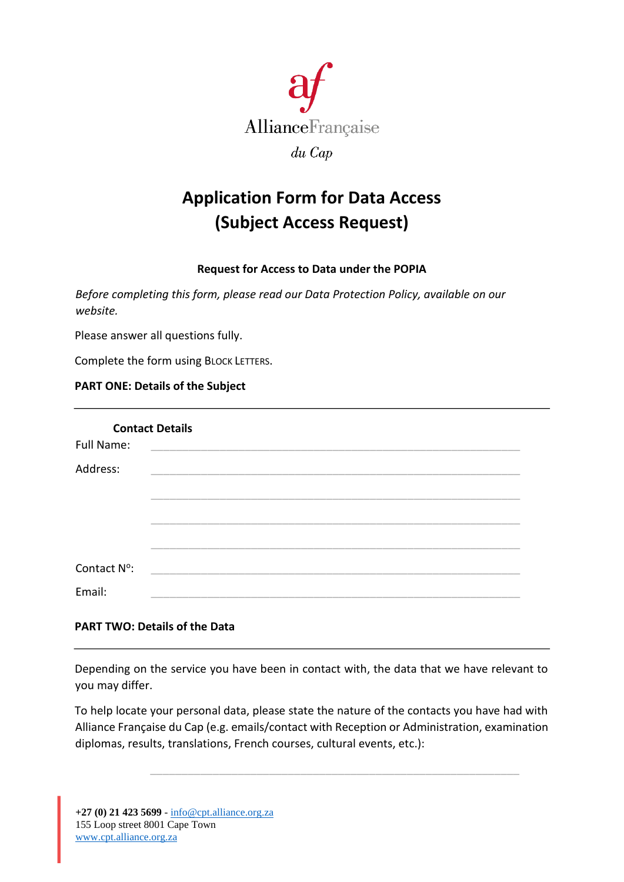

# **Application Form for Data Access (Subject Access Request)**

## **Request for Access to Data under the POPIA**

*Before completing this form, please read our Data Protection Policy, available on our website.*

Please answer all questions fully.

Complete the form using BLOCK LETTERS.

### **PART ONE: Details of the Subject**

| <b>Contact Details</b>                                                                                                            |  |
|-----------------------------------------------------------------------------------------------------------------------------------|--|
| <b>Full Name:</b>                                                                                                                 |  |
| Address:<br><u> 1980 - Jan James Santan, masjid a shekara ta 1980 a shekara ta 1980 a shekara ta 1980 a shekara ta 1980 a she</u> |  |
|                                                                                                                                   |  |
|                                                                                                                                   |  |
|                                                                                                                                   |  |
|                                                                                                                                   |  |
| Contact N°:                                                                                                                       |  |
| Email:                                                                                                                            |  |

### **PART TWO: Details of the Data**

Depending on the service you have been in contact with, the data that we have relevant to you may differ.

To help locate your personal data, please state the nature of the contacts you have had with Alliance Française du Cap (e.g. emails/contact with Reception or Administration, examination diplomas, results, translations, French courses, cultural events, etc.):

\_\_\_\_\_\_\_\_\_\_\_\_\_\_\_\_\_\_\_\_\_\_\_\_\_\_\_\_\_\_\_\_\_\_\_\_\_\_\_\_\_\_\_\_\_\_\_\_\_\_\_\_\_\_\_\_\_\_\_